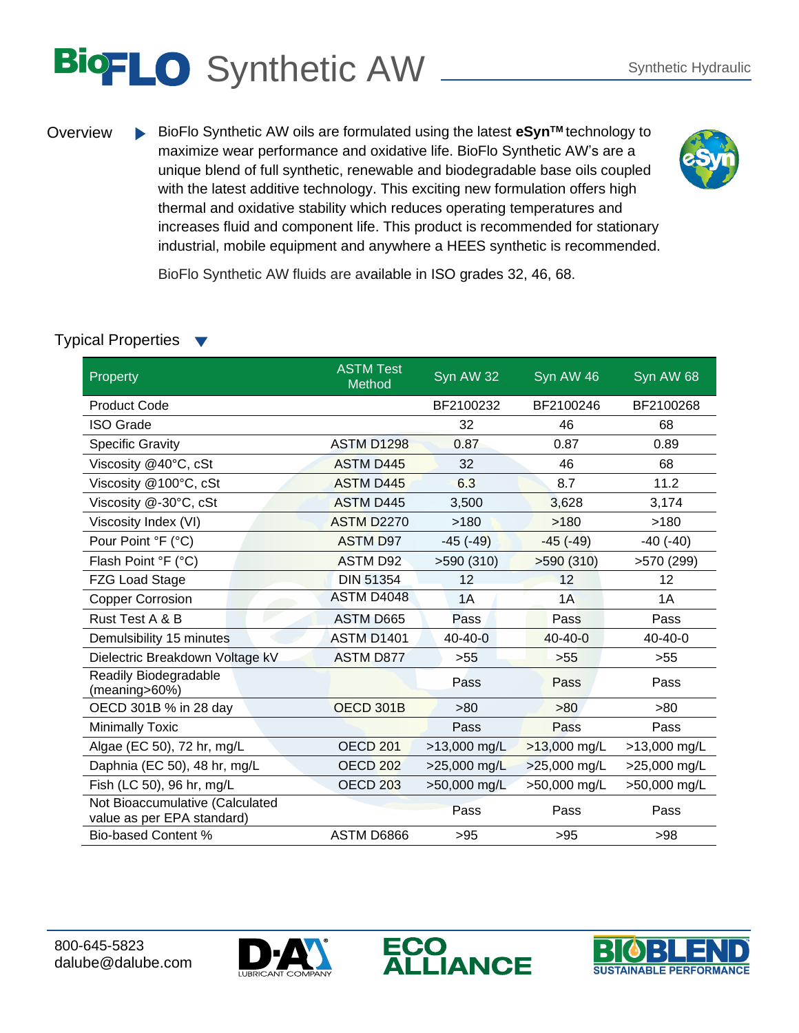## BIOFLO Synthetic AW Synthetic Hydraulic

Overview BioFlo Synthetic AW oils are formulated using the latest **eSynTM** technology to maximize wear performance and oxidative life. BioFlo Synthetic AW's are a unique blend of full synthetic, renewable and biodegradable base oils coupled with the latest additive technology. This exciting new formulation offers high thermal and oxidative stability which reduces operating temperatures and increases fluid and component life. This product is recommended for stationary industrial, mobile equipment and anywhere a HEES synthetic is recommended.



BioFlo Synthetic AW fluids are available in ISO grades 32, 46, 68.

## Typical Properties

| Property                                                      | <b>ASTM Test</b><br>Method | Syn AW 32              | Syn AW 46     | Syn AW 68     |
|---------------------------------------------------------------|----------------------------|------------------------|---------------|---------------|
| <b>Product Code</b>                                           |                            | BF2100232              | BF2100246     | BF2100268     |
| <b>ISO Grade</b>                                              |                            | 32                     | 46            | 68            |
| <b>Specific Gravity</b>                                       | <b>ASTM D1298</b>          | 0.87                   | 0.87          | 0.89          |
| Viscosity @40°C, cSt                                          | <b>ASTM D445</b>           | 32                     | 46            | 68            |
| Viscosity @100°C, cSt                                         | <b>ASTM D445</b>           | 6.3                    | 8.7           | 11.2          |
| Viscosity @-30°C, cSt                                         | <b>ASTM D445</b>           | 3,500                  | 3,628         | 3,174         |
| Viscosity Index (VI)                                          | <b>ASTM D2270</b>          | >180                   | >180          | >180          |
| Pour Point °F (°C)                                            | <b>ASTM D97</b>            | $-45$ $(-49)$          | $-45$ $(-49)$ | $-40$ $(-40)$ |
| Flash Point °F (°C)                                           | <b>ASTM D92</b>            | >590(310)              | >590(310)     | >570 (299)    |
| <b>FZG Load Stage</b>                                         | <b>DIN 51354</b>           | 12                     | 12            | 12            |
| <b>Copper Corrosion</b>                                       | ASTM D4048                 | 1A                     | 1A            | 1A            |
| Rust Test A & B                                               | ASTM D665                  | Pass                   | Pass          | Pass          |
| Demulsibility 15 minutes                                      | ASTM D1401                 | $40 - 40 - 0$          | $40 - 40 - 0$ | $40 - 40 - 0$ |
| Dielectric Breakdown Voltage kV                               | <b>ASTM D877</b>           | >55                    | $>55$         | $>55$         |
| Readily Biodegradable<br>(meaning>60%)                        |                            | Pass                   | Pass          | Pass          |
| OECD 301B % in 28 day                                         | OECD 301B                  | >80                    | >80           | >80           |
| <b>Minimally Toxic</b>                                        |                            | Pass                   | Pass          | Pass          |
| Algae (EC 50), 72 hr, mg/L                                    | <b>OECD 201</b>            | >13,000 mg/L           | >13,000 mg/L  | >13,000 mg/L  |
| Daphnia (EC 50), 48 hr, mg/L                                  | <b>OECD 202</b>            | $>25,000 \text{ mg/L}$ | >25,000 mg/L  | >25,000 mg/L  |
| Fish (LC 50), 96 hr, mg/L                                     | <b>OECD 203</b>            | >50,000 mg/L           | >50,000 mg/L  | >50,000 mg/L  |
| Not Bioaccumulative (Calculated<br>value as per EPA standard) |                            | Pass                   | Pass          | Pass          |
| <b>Bio-based Content %</b>                                    | ASTM D6866                 | >95                    | >95           | >98           |